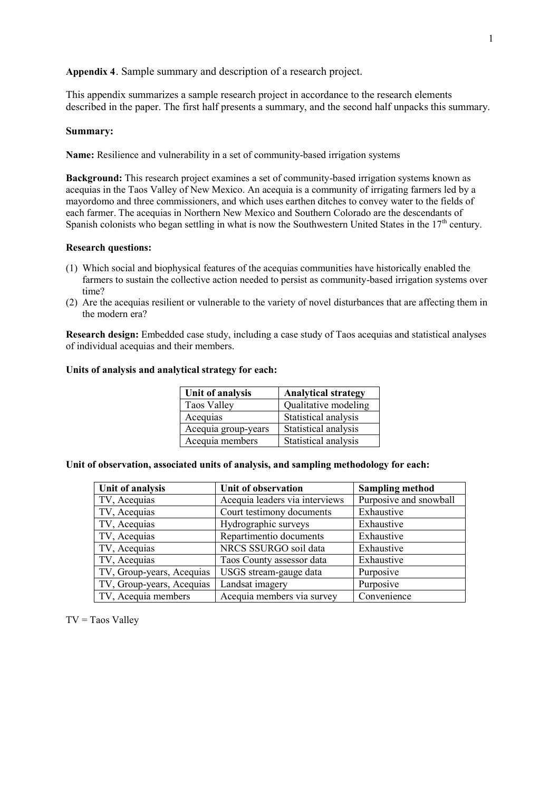Appendix 4. Sample summary and description of a research project.

This appendix summarizes a sample research project in accordance to the research elements described in the paper. The first half presents a summary, and the second half unpacks this summary.

## **Summary:**

**Name:** Resilience and vulnerability in a set of community-based irrigation systems

**Background:** This research project examines a set of community-based irrigation systems known as acequias in the Taos Valley of New Mexico. An acequia is a community of irrigating farmers led by a mayordomo and three commissioners, and which uses earthen ditches to convey water to the fields of each farmer. The acequias in Northern New Mexico and Southern Colorado are the descendants of Spanish colonists who began settling in what is now the Southwestern United States in the  $17<sup>th</sup>$  century.

## **Research questions:**

- (1) Which social and biophysical features of the acequias communities have historically enabled the farmers to sustain the collective action needed to persist as community-based irrigation systems over time?
- (2) Are the acequias resilient or vulnerable to the variety of novel disturbances that are affecting them in the modern era?

**Research design:** Embedded case study, including a case study of Taos acequias and statistical analyses of individual acequias and their members.

## **Units of analysis and analytical strategy for each:**

| Unit of analysis    | <b>Analytical strategy</b> |  |
|---------------------|----------------------------|--|
| Taos Valley         | Qualitative modeling       |  |
| Acequias            | Statistical analysis       |  |
| Acequia group-years | Statistical analysis       |  |
| Acequia members     | Statistical analysis       |  |

**Unit of observation, associated units of analysis, and sampling methodology for each:** 

| Unit of analysis          | Unit of observation            | <b>Sampling method</b> |
|---------------------------|--------------------------------|------------------------|
| TV, Acequias              | Acequia leaders via interviews | Purposive and snowball |
| TV, Acequias              | Court testimony documents      | Exhaustive             |
| TV, Acequias              | Hydrographic surveys           | Exhaustive             |
| TV, Acequias              | Repartimentio documents        | Exhaustive             |
| TV, Acequias              | NRCS SSURGO soil data          | Exhaustive             |
| TV, Acequias              | Taos County assessor data      | Exhaustive             |
| TV, Group-years, Acequias | USGS stream-gauge data         | Purposive              |
| TV, Group-years, Acequias | Landsat imagery                | Purposive              |
| TV, Acequia members       | Acequia members via survey     | Convenience            |

 $TV = T$ aos Valley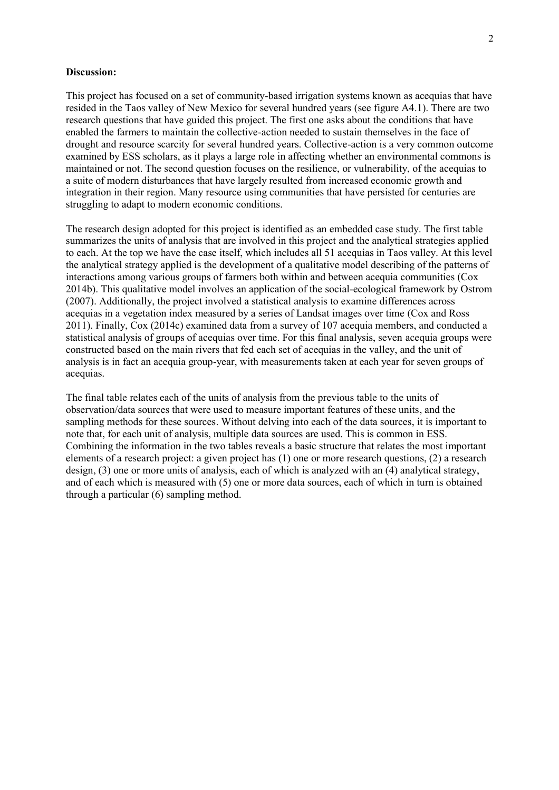## **Discussion:**

This project has focused on a set of community-based irrigation systems known as acequias that have resided in the Taos valley of New Mexico for several hundred years (see figure A4.1). There are two research questions that have guided this project. The first one asks about the conditions that have enabled the farmers to maintain the collective-action needed to sustain themselves in the face of drought and resource scarcity for several hundred years. Collective-action is a very common outcome examined by ESS scholars, as it plays a large role in affecting whether an environmental commons is maintained or not. The second question focuses on the resilience, or vulnerability, of the acequias to a suite of modern disturbances that have largely resulted from increased economic growth and integration in their region. Many resource using communities that have persisted for centuries are struggling to adapt to modern economic conditions.

The research design adopted for this project is identified as an embedded case study. The first table summarizes the units of analysis that are involved in this project and the analytical strategies applied to each. At the top we have the case itself, which includes all 51 acequias in Taos valley. At this level the analytical strategy applied is the development of a qualitative model describing of the patterns of interactions among various groups of farmers both within and between acequia communities (Cox 2014b). This qualitative model involves an application of the social-ecological framework by Ostrom (2007). Additionally, the project involved a statistical analysis to examine differences across acequias in a vegetation index measured by a series of Landsat images over time (Cox and Ross 2011). Finally, Cox (2014c) examined data from a survey of 107 acequia members, and conducted a statistical analysis of groups of acequias over time. For this final analysis, seven acequia groups were constructed based on the main rivers that fed each set of acequias in the valley, and the unit of analysis is in fact an acequia group-year, with measurements taken at each year for seven groups of acequias.

The final table relates each of the units of analysis from the previous table to the units of observation/data sources that were used to measure important features of these units, and the sampling methods for these sources. Without delving into each of the data sources, it is important to note that, for each unit of analysis, multiple data sources are used. This is common in ESS. Combining the information in the two tables reveals a basic structure that relates the most important elements of a research project: a given project has (1) one or more research questions, (2) a research design, (3) one or more units of analysis, each of which is analyzed with an (4) analytical strategy, and of each which is measured with (5) one or more data sources, each of which in turn is obtained through a particular (6) sampling method.